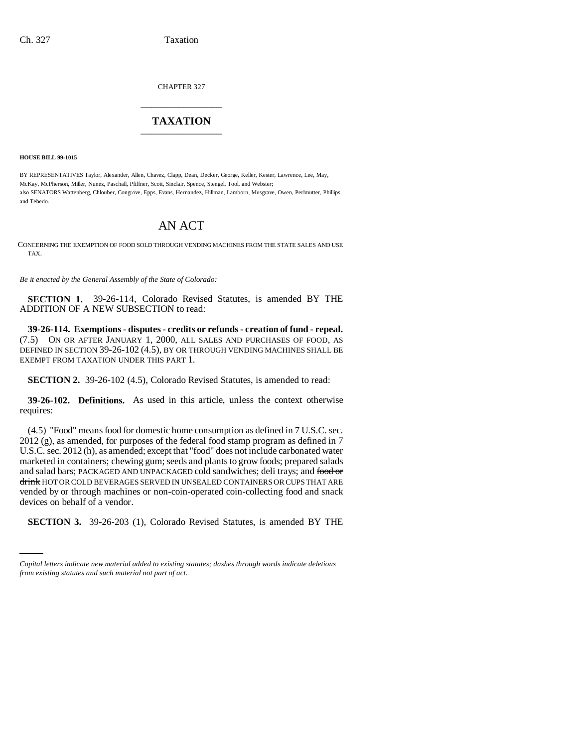CHAPTER 327

# \_\_\_\_\_\_\_\_\_\_\_\_\_\_\_ **TAXATION** \_\_\_\_\_\_\_\_\_\_\_\_\_\_\_

**HOUSE BILL 99-1015** 

BY REPRESENTATIVES Taylor, Alexander, Allen, Chavez, Clapp, Dean, Decker, George, Keller, Kester, Lawrence, Lee, May, McKay, McPherson, Miller, Nunez, Paschall, Pfiffner, Scott, Sinclair, Spence, Stengel, Tool, and Webster; also SENATORS Wattenberg, Chlouber, Congrove, Epps, Evans, Hernandez, Hillman, Lamborn, Musgrave, Owen, Perlmutter, Phillips, and Tebedo.

## AN ACT

CONCERNING THE EXEMPTION OF FOOD SOLD THROUGH VENDING MACHINES FROM THE STATE SALES AND USE TAX.

*Be it enacted by the General Assembly of the State of Colorado:*

**SECTION 1.** 39-26-114, Colorado Revised Statutes, is amended BY THE ADDITION OF A NEW SUBSECTION to read:

**39-26-114. Exemptions - disputes - credits or refunds - creation of fund - repeal.** (7.5) ON OR AFTER JANUARY 1, 2000, ALL SALES AND PURCHASES OF FOOD, AS DEFINED IN SECTION 39-26-102 (4.5), BY OR THROUGH VENDING MACHINES SHALL BE EXEMPT FROM TAXATION UNDER THIS PART 1.

**SECTION 2.** 39-26-102 (4.5), Colorado Revised Statutes, is amended to read:

**39-26-102. Definitions.** As used in this article, unless the context otherwise requires:

devices on behalf of a vendor. (4.5) "Food" means food for domestic home consumption as defined in 7 U.S.C. sec. 2012 (g), as amended, for purposes of the federal food stamp program as defined in 7 U.S.C. sec. 2012 (h), as amended; except that "food" does not include carbonated water marketed in containers; chewing gum; seeds and plants to grow foods; prepared salads and salad bars; PACKAGED AND UNPACKAGED cold sandwiches; deli trays; and food or drink HOT OR COLD BEVERAGES SERVED IN UNSEALED CONTAINERS OR CUPS THAT ARE vended by or through machines or non-coin-operated coin-collecting food and snack

**SECTION 3.** 39-26-203 (1), Colorado Revised Statutes, is amended BY THE

*Capital letters indicate new material added to existing statutes; dashes through words indicate deletions from existing statutes and such material not part of act.*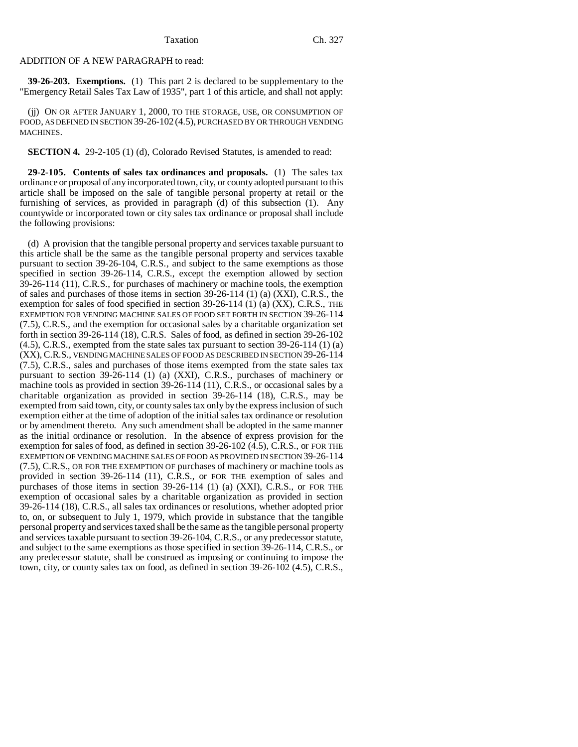## ADDITION OF A NEW PARAGRAPH to read:

**39-26-203. Exemptions.** (1) This part 2 is declared to be supplementary to the "Emergency Retail Sales Tax Law of 1935", part 1 of this article, and shall not apply:

(jj) ON OR AFTER JANUARY 1, 2000, TO THE STORAGE, USE, OR CONSUMPTION OF FOOD, AS DEFINED IN SECTION 39-26-102 (4.5), PURCHASED BY OR THROUGH VENDING MACHINES.

**SECTION 4.** 29-2-105 (1) (d), Colorado Revised Statutes, is amended to read:

**29-2-105. Contents of sales tax ordinances and proposals.** (1) The sales tax ordinance or proposal of any incorporated town, city, or county adopted pursuant to this article shall be imposed on the sale of tangible personal property at retail or the furnishing of services, as provided in paragraph (d) of this subsection (1). Any countywide or incorporated town or city sales tax ordinance or proposal shall include the following provisions:

(d) A provision that the tangible personal property and services taxable pursuant to this article shall be the same as the tangible personal property and services taxable pursuant to section 39-26-104, C.R.S., and subject to the same exemptions as those specified in section 39-26-114, C.R.S., except the exemption allowed by section 39-26-114 (11), C.R.S., for purchases of machinery or machine tools, the exemption of sales and purchases of those items in section  $39-26-114$  (1) (a) (XXI), C.R.S., the exemption for sales of food specified in section 39-26-114 (1) (a) (XX), C.R.S., THE EXEMPTION FOR VENDING MACHINE SALES OF FOOD SET FORTH IN SECTION 39-26-114 (7.5), C.R.S., and the exemption for occasional sales by a charitable organization set forth in section 39-26-114 (18), C.R.S. Sales of food, as defined in section 39-26-102 (4.5), C.R.S., exempted from the state sales tax pursuant to section 39-26-114 (1) (a) (XX), C.R.S., VENDING MACHINE SALES OF FOOD AS DESCRIBED IN SECTION 39-26-114 (7.5), C.R.S., sales and purchases of those items exempted from the state sales tax pursuant to section 39-26-114 (1) (a) (XXI), C.R.S., purchases of machinery or machine tools as provided in section 39-26-114 (11), C.R.S., or occasional sales by a charitable organization as provided in section 39-26-114 (18), C.R.S., may be exempted from said town, city, or county sales tax only by the express inclusion of such exemption either at the time of adoption of the initial sales tax ordinance or resolution or by amendment thereto. Any such amendment shall be adopted in the same manner as the initial ordinance or resolution. In the absence of express provision for the exemption for sales of food, as defined in section 39-26-102 (4.5), C.R.S., or FOR THE EXEMPTION OF VENDING MACHINE SALES OF FOOD AS PROVIDED IN SECTION 39-26-114 (7.5), C.R.S., OR FOR THE EXEMPTION OF purchases of machinery or machine tools as provided in section 39-26-114 (11), C.R.S., or FOR THE exemption of sales and purchases of those items in section 39-26-114 (1) (a) (XXI), C.R.S., or FOR THE exemption of occasional sales by a charitable organization as provided in section 39-26-114 (18), C.R.S., all sales tax ordinances or resolutions, whether adopted prior to, on, or subsequent to July 1, 1979, which provide in substance that the tangible personal property and services taxed shall be the same as the tangible personal property and services taxable pursuant to section 39-26-104, C.R.S., or any predecessor statute, and subject to the same exemptions as those specified in section 39-26-114, C.R.S., or any predecessor statute, shall be construed as imposing or continuing to impose the town, city, or county sales tax on food, as defined in section 39-26-102 (4.5), C.R.S.,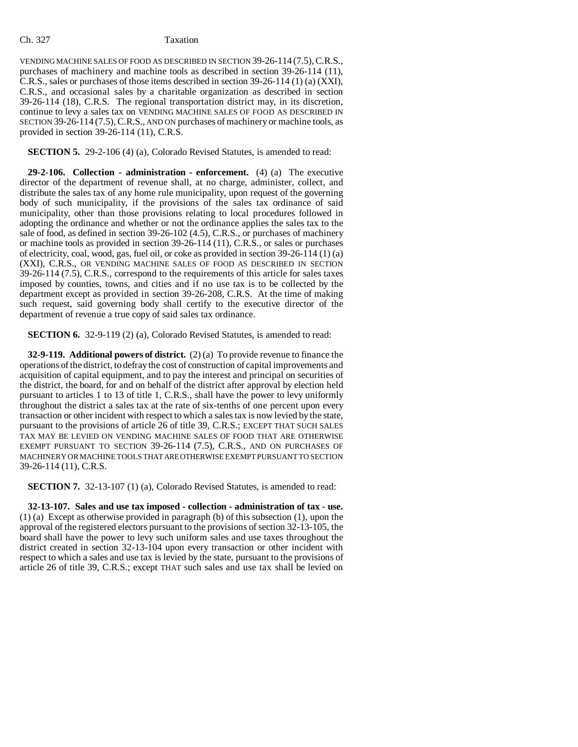### Ch. 327 Taxation

VENDING MACHINE SALES OF FOOD AS DESCRIBED IN SECTION 39-26-114 (7.5),C.R.S., purchases of machinery and machine tools as described in section 39-26-114 (11), C.R.S., sales or purchases of those items described in section 39-26-114 (1) (a) (XXI), C.R.S., and occasional sales by a charitable organization as described in section 39-26-114 (18), C.R.S. The regional transportation district may, in its discretion, continue to levy a sales tax on VENDING MACHINE SALES OF FOOD AS DESCRIBED IN SECTION 39-26-114 (7.5), C.R.S., AND ON purchases of machinery or machine tools, as provided in section 39-26-114 (11), C.R.S.

**SECTION 5.** 29-2-106 (4) (a), Colorado Revised Statutes, is amended to read:

**29-2-106. Collection - administration - enforcement.** (4) (a) The executive director of the department of revenue shall, at no charge, administer, collect, and distribute the sales tax of any home rule municipality, upon request of the governing body of such municipality, if the provisions of the sales tax ordinance of said municipality, other than those provisions relating to local procedures followed in adopting the ordinance and whether or not the ordinance applies the sales tax to the sale of food, as defined in section 39-26-102 (4.5), C.R.S., or purchases of machinery or machine tools as provided in section 39-26-114 (11), C.R.S., or sales or purchases of electricity, coal, wood, gas, fuel oil, or coke as provided in section 39-26-114 (1) (a) (XXI), C.R.S., OR VENDING MACHINE SALES OF FOOD AS DESCRIBED IN SECTION 39-26-114 (7.5), C.R.S., correspond to the requirements of this article for sales taxes imposed by counties, towns, and cities and if no use tax is to be collected by the department except as provided in section 39-26-208, C.R.S. At the time of making such request, said governing body shall certify to the executive director of the department of revenue a true copy of said sales tax ordinance.

**SECTION 6.** 32-9-119 (2) (a), Colorado Revised Statutes, is amended to read:

**32-9-119. Additional powers of district.** (2) (a) To provide revenue to finance the operations of the district, to defray the cost of construction of capital improvements and acquisition of capital equipment, and to pay the interest and principal on securities of the district, the board, for and on behalf of the district after approval by election held pursuant to articles 1 to 13 of title 1, C.R.S., shall have the power to levy uniformly throughout the district a sales tax at the rate of six-tenths of one percent upon every transaction or other incident with respect to which a sales tax is now levied by the state, pursuant to the provisions of article 26 of title 39, C.R.S.; EXCEPT THAT SUCH SALES TAX MAY BE LEVIED ON VENDING MACHINE SALES OF FOOD THAT ARE OTHERWISE EXEMPT PURSUANT TO SECTION 39-26-114 (7.5), C.R.S., AND ON PURCHASES OF MACHINERY OR MACHINE TOOLS THAT ARE OTHERWISE EXEMPT PURSUANT TO SECTION 39-26-114 (11), C.R.S.

**SECTION 7.** 32-13-107 (1) (a), Colorado Revised Statutes, is amended to read:

**32-13-107. Sales and use tax imposed - collection - administration of tax - use.** (1) (a) Except as otherwise provided in paragraph (b) of this subsection (1), upon the approval of the registered electors pursuant to the provisions of section 32-13-105, the board shall have the power to levy such uniform sales and use taxes throughout the district created in section 32-13-104 upon every transaction or other incident with respect to which a sales and use tax is levied by the state, pursuant to the provisions of article 26 of title 39, C.R.S.; except THAT such sales and use tax shall be levied on